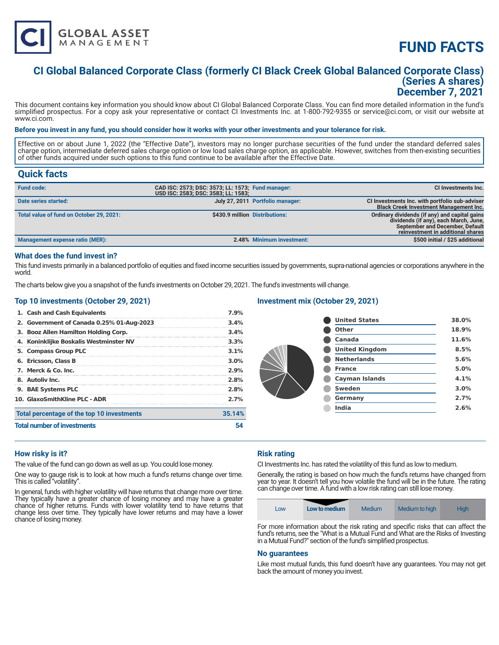

# **FUND FACTS**

# **CI Global Balanced Corporate Class (formerly CI Black Creek Global Balanced Corporate Class) (Series A shares) December 7, 2021**

This document contains key information you should know about CI Global Balanced Corporate Class. You can find more detailed information in the fund's simplified prospectus. For a copy ask your representative or contact CI Investments Inc. at 1-800-792-9355 or service@ci.com, or visit our website at www.ci.com.

#### **Before you invest in any fund, you should consider how it works with your other investments and your tolerance for risk.**

Effective on or about June 1, 2022 (the "Effective Date"), investors may no longer purchase securities of the fund under the standard deferred sales charge option, intermediate deferred sales charge option or low load sales charge option, as applicable. However, switches from then-existing securities of other funds acquired under such options to this fund continue to be available after the Effective Date.

# **Quick facts**

| <b>Fund code:</b>                        | CAD ISC: 2573; DSC: 3573; LL: 1573; Fund manager:<br>USD ISC: 2583; DSC: 3583; LL: 1583; |                                  | CI Investments Inc.                                                                                                                                            |
|------------------------------------------|------------------------------------------------------------------------------------------|----------------------------------|----------------------------------------------------------------------------------------------------------------------------------------------------------------|
| Date series started:                     |                                                                                          | July 27, 2011 Portfolio manager: | CI Investments Inc. with portfolio sub-adviser<br><b>Black Creek Investment Management Inc.</b>                                                                |
| Total value of fund on October 29, 2021: | \$430.9 million Distributions:                                                           |                                  | Ordinary dividends (if any) and capital gains<br>dividends (if any), each March, June,<br>September and December, Default<br>reinvestment in additional shares |
| Management expense ratio (MER):          |                                                                                          | 2.48% Minimum investment:        | \$500 initial / \$25 additional                                                                                                                                |

#### **What does the fund invest in?**

This fund invests primarily in a balanced portfolio of equities and fixed income securities issued by governments, supra-national agencies or corporations anywhere in the world.

The charts below give you a snapshot of the fund's investments on October 29, 2021. The fund's investments will change.

#### **Top 10 investments (October 29, 2021)**

| 1. Cash and Cash Equivalents               | 7.9%    |  |
|--------------------------------------------|---------|--|
| 2. Government of Canada 0.25% 01-Aug-2023  | 3.4%    |  |
| 3. Booz Allen Hamilton Holding Corp.       | 3.4%    |  |
| 4. Koninklijke Boskalis Westminster NV     | 3.3%    |  |
| 5. Compass Group PLC                       | 3.1%    |  |
| 6. Ericsson. Class B                       | $3.0\%$ |  |
| 7. Merck & Co. Inc.                        | 2.9%    |  |
| 8. Autoliv Inc.                            | 2.8%    |  |
| 9. BAE Systems PLC                         | 2.8%    |  |
| 10. GlaxoSmithKline PLC - ADR              | 2.7%    |  |
| Total percentage of the top 10 investments | 35.14%  |  |
| <b>Total number of investments</b>         |         |  |

## **Investment mix (October 29, 2021)**

| <b>United States</b>  | 38.0% |
|-----------------------|-------|
| Other                 | 18.9% |
| Canada                | 11.6% |
| <b>United Kingdom</b> | 8.5%  |
| <b>Netherlands</b>    | 5.6%  |
| <b>France</b>         | 5.0%  |
| <b>Cayman Islands</b> | 4.1%  |
| <b>Sweden</b>         | 3.0%  |
| Germany               | 2.7%  |
| India                 | 2.6%  |
|                       |       |

#### **How risky is it?**

The value of the fund can go down as well as up. You could lose money.

One way to gauge risk is to look at how much a fund's returns change over time. This is called "volatility".

In general, funds with higher volatility will have returns that change more over time. They typically have a greater chance of losing money and may have a greater chance of higher returns. Funds with lower volatility tend to have returns that change less over time. They typically have lower returns and may have a lower chance of losing money.

### **Risk rating**

CI Investments Inc. has rated the volatility of this fund as low to medium.

Generally, the rating is based on how much the fund's returns have changed from year to year. It doesn't tell you how volatile the fund will be in the future. The rating can change over time. A fund with a low risk rating can still lose money.

| Low | Low to medium | Medium | Medium to high | <b>High</b> |
|-----|---------------|--------|----------------|-------------|
|-----|---------------|--------|----------------|-------------|

For more information about the risk rating and specific risks that can affect the fund's returns, see the "What is a Mutual Fund and What are the Risks of Investing in a Mutual Fund?" section of the fund's simplified prospectus.

#### **No guarantees**

Like most mutual funds, this fund doesn't have any guarantees. You may not get back the amount of money you invest.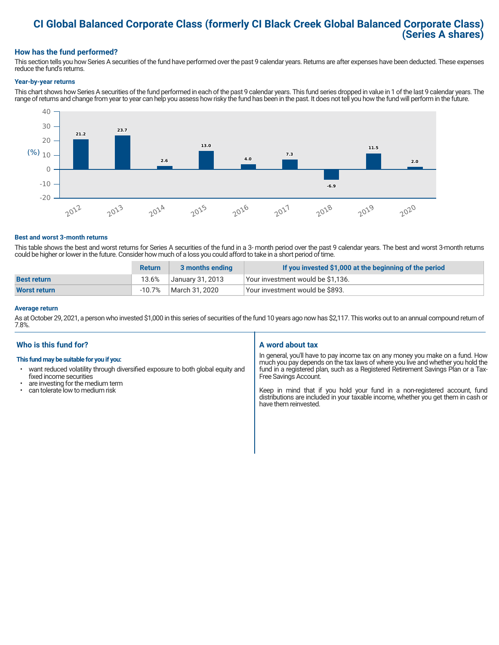# **CI Global Balanced Corporate Class (formerly CI Black Creek Global Balanced Corporate Class) (Series A shares)**

### **How has the fund performed?**

This section tells you how Series A securities of the fund have performed over the past 9 calendar years. Returns are after expenses have been deducted. These expenses reduce the fund's returns.

#### **Year-by-year returns**

This chart shows how Series A securities of the fund performed in each of the past 9 calendar years. This fund series dropped in value in 1 of the last 9 calendar years. The range of returns and change from year to year can help you assess how risky the fund has been in the past. It does not tell you how the fund will perform in the future.



#### **Best and worst 3-month returns**

This table shows the best and worst returns for Series A securities of the fund in a 3- month period over the past 9 calendar years. The best and worst 3-month returns could be higher or lower in the future. Consider how much of a loss you could afford to take in a short period of time.

|                    | <b>Return</b> | 3 months ending  | If you invested \$1,000 at the beginning of the period |
|--------------------|---------------|------------------|--------------------------------------------------------|
| <b>Best return</b> | 13.6%         | January 31, 2013 | Vour investment would be \$1,136.                      |
| Worst return       | -10.7%        | March 31, 2020   | Your investment would be \$893.                        |

#### **Average return**

As at October 29, 2021, a person who invested \$1,000 in this series of securities of the fund 10 years ago now has \$2,117. This works out to an annual compound return of 7.8%.

### **Who is this fund for?**

#### **This fund may be suitable for you if you:**

- want reduced volatility through diversified exposure to both global equity and fixed income securities
- are investing for the medium term<br>• can tolerate low to medium risk
- can tolerate low to medium risk

### **A word about tax**

In general, you'll have to pay income tax on any money you make on a fund. How much you pay depends on the tax laws of where you live and whether you hold the fund in a registered plan, such as a Registered Retirement Savings Plan or a Tax-Free Savings Account.

Keep in mind that if you hold your fund in a non-registered account, fund distributions are included in your taxable income, whether you get them in cash or have them reinvested.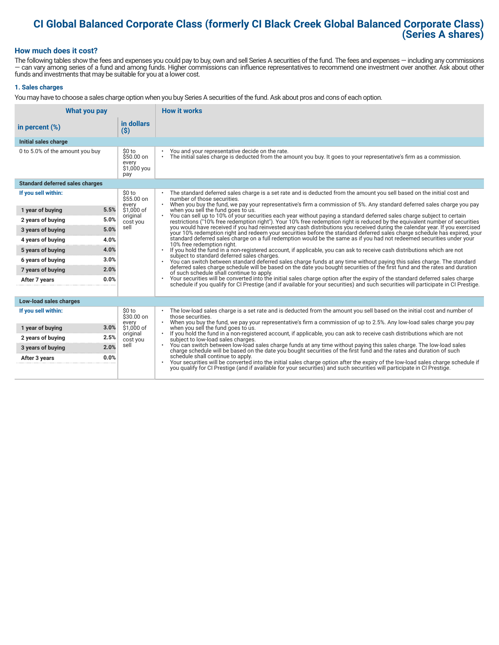# **CI Global Balanced Corporate Class (formerly CI Black Creek Global Balanced Corporate Class) (Series A shares)**

#### **How much does it cost?**

The following tables show the fees and expenses you could pay to buy, own and sell Series A securities of the fund. The fees and expenses — including any commissions — can vary among series of a fund and among funds. Higher commissions can influence representatives to recommend one investment over another. Ask about other funds and investments that may be suitable for you at a lower cost.

#### **1. Sales charges**

You may have to choose a sales charge option when you buy Series A securities of the fund. Ask about pros and cons of each option.

| What you pay                           |                                                      | <b>How it works</b>                                                                                                                                                                                                                                                                                            |
|----------------------------------------|------------------------------------------------------|----------------------------------------------------------------------------------------------------------------------------------------------------------------------------------------------------------------------------------------------------------------------------------------------------------------|
| in percent $(\%)$                      | in dollars<br>$($ \$)                                |                                                                                                                                                                                                                                                                                                                |
| Initial sales charge                   |                                                      |                                                                                                                                                                                                                                                                                                                |
| 0 to 5.0% of the amount you buy        | \$0 to<br>$$50.00$ on<br>every<br>\$1,000 you<br>pay | You and your representative decide on the rate.<br>The initial sales charge is deducted from the amount you buy. It goes to your representative's firm as a commission.<br>$\bullet$                                                                                                                           |
| <b>Standard deferred sales charges</b> |                                                      |                                                                                                                                                                                                                                                                                                                |
| If you sell within:                    | \$0 to<br>\$55.00 on                                 | The standard deferred sales charge is a set rate and is deducted from the amount you sell based on the initial cost and<br>number of those securities.                                                                                                                                                         |
| 5.5%<br>1 year of buying               | every<br>\$1,000 of                                  | When you buy the fund, we pay your representative's firm a commission of 5%. Any standard deferred sales charge you pay<br>$\bullet$<br>when you sell the fund goes to us.                                                                                                                                     |
| 5.0%<br>2 years of buying              | original<br>cost you                                 | You can sell up to 10% of your securities each year without paying a standard deferred sales charge subject to certain<br>restrictions ("10% free redemption right"). Your 10% free redemption right is reduced by the equivalent number of securities                                                         |
| 5.0%<br>3 years of buying              | sell                                                 | you would have received if you had reinvested any cash distributions you received during the calendar year. If you exercised<br>your 10% redemption right and redeem your securities before the standard deferred sales charge schedule has expired, your                                                      |
| 4.0%<br>4 years of buying              |                                                      | standard deferred sales charge on a full redemption would be the same as if you had not redeemed securities under your<br>10% free redemption right.                                                                                                                                                           |
| 4.0%<br>5 years of buying              |                                                      | If you hold the fund in a non-registered account, if applicable, you can ask to receive cash distributions which are not<br>subject to standard deferred sales charges.<br>You can switch between standard deferred sales charge funds at any time without paying this sales charge. The standard<br>$\bullet$ |
| 3.0%<br>6 years of buying              |                                                      |                                                                                                                                                                                                                                                                                                                |
| 2.0%<br>7 years of buying              |                                                      | deferred sales charge schedule will be based on the date you bought securities of the first fund and the rates and duration<br>of such schedule shall continue to apply.                                                                                                                                       |
| 0.0%<br>After 7 years                  |                                                      | Your securities will be converted into the initial sales charge option after the expiry of the standard deferred sales charge<br>schedule if you qualify for CI Prestige (and if available for your securities) and such securities will participate in CI Prestige.                                           |
| Low-load sales charges                 |                                                      |                                                                                                                                                                                                                                                                                                                |
| If you sell within:                    | \$0 to<br>\$30.00 on<br>every                        | The low-load sales charge is a set rate and is deducted from the amount you sell based on the initial cost and number of<br>those securities.<br>When you buy the fund, we pay your representative's firm a commission of up to 2.5%. Any low-load sales charge you pay                                        |
| 3.0%<br>1 year of buying               | \$1,000 of                                           | when you sell the fund goes to us.                                                                                                                                                                                                                                                                             |
| 2.5%<br>2 years of buying              | original<br>cost you                                 | If you hold the fund in a non-registered account, if applicable, you can ask to receive cash distributions which are not<br>subject to low-load sales charges.                                                                                                                                                 |
| 2.0%<br>3 years of buying              | sell                                                 | . You can switch between low-load sales charge funds at any time without paying this sales charge. The low-load sales<br>charge schedule will be based on the date you bought securities of the first fund and the rates and duration of such                                                                  |
| 0.0%<br>After 3 years                  |                                                      | schedule shall continue to apply.<br>Your securities will be converted into the initial sales charge option after the expiry of the low-load sales charge schedule if                                                                                                                                          |
|                                        |                                                      | you qualify for CI Prestige (and if available for your securities) and such securities will participate in CI Prestige.                                                                                                                                                                                        |